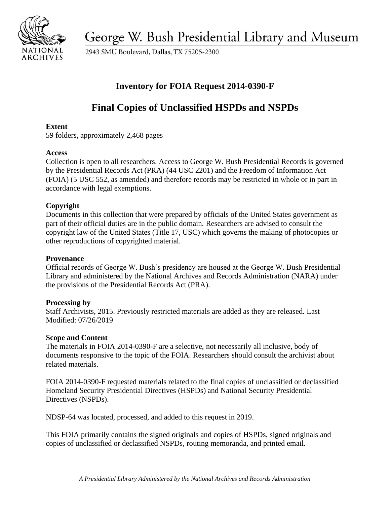

George W. Bush Presidential Library and Museum

2943 SMU Boulevard, Dallas, TX 75205-2300

# **Inventory for FOIA Request 2014-0390-F**

# **Final Copies of Unclassified HSPDs and NSPDs**

## **Extent**

59 folders, approximately 2,468 pages

# **Access**

Collection is open to all researchers. Access to George W. Bush Presidential Records is governed by the Presidential Records Act (PRA) (44 USC 2201) and the Freedom of Information Act (FOIA) (5 USC 552, as amended) and therefore records may be restricted in whole or in part in accordance with legal exemptions.

# **Copyright**

 Documents in this collection that were prepared by officials of the United States government as part of their official duties are in the public domain. Researchers are advised to consult the copyright law of the United States (Title 17, USC) which governs the making of photocopies or other reproductions of copyrighted material.

#### **Provenance**

Official records of George W. Bush's presidency are housed at the George W. Bush Presidential Library and administered by the National Archives and Records Administration (NARA) under the provisions of the Presidential Records Act (PRA).

#### **Processing by**

Staff Archivists, 2015. Previously restricted materials are added as they are released. Last Modified: 07/26/2019

#### **Scope and Content**

 documents responsive to the topic of the FOIA. Researchers should consult the archivist about The materials in FOIA 2014-0390-F are a selective, not necessarily all inclusive, body of related materials.

FOIA 2014-0390-F requested materials related to the final copies of unclassified or declassified Homeland Security Presidential Directives (HSPDs) and National Security Presidential Directives (NSPDs).

NDSP-64 was located, processed, and added to this request in 2019.

This FOIA primarily contains the signed originals and copies of HSPDs, signed originals and copies of unclassified or declassified NSPDs, routing memoranda, and printed email.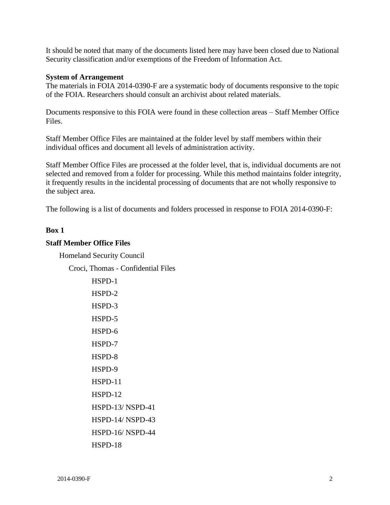It should be noted that many of the documents listed here may have been closed due to National Security classification and/or exemptions of the Freedom of Information Act.

#### **System of Arrangement**

 The materials in FOIA 2014-0390-F are a systematic body of documents responsive to the topic of the FOIA. Researchers should consult an archivist about related materials.

Documents responsive to this FOIA were found in these collection areas – Staff Member Office Files.

 Staff Member Office Files are maintained at the folder level by staff members within their individual offices and document all levels of administration activity.

Staff Member Office Files are processed at the folder level, that is, individual documents are not selected and removed from a folder for processing. While this method maintains folder integrity, it frequently results in the incidental processing of documents that are not wholly responsive to the subject area.

The following is a list of documents and folders processed in response to FOIA 2014-0390-F:

#### **Box 1**

#### **Staff Member Office Files**

Homeland Security Council

Croci, Thomas - Confidential Files

| HSPD-1                  |
|-------------------------|
| HSPD-2                  |
| HSPD-3                  |
| HSPD-5                  |
| HSPD-6                  |
| HSPD-7                  |
| HSPD-8                  |
| HSPD-9                  |
| HSPD-11                 |
| $HSPD-12$               |
| HSPD-13/NSPD-41         |
| <b>HSPD-14/ NSPD-43</b> |
| <b>HSPD-16/NSPD-44</b>  |
| HSPD-18                 |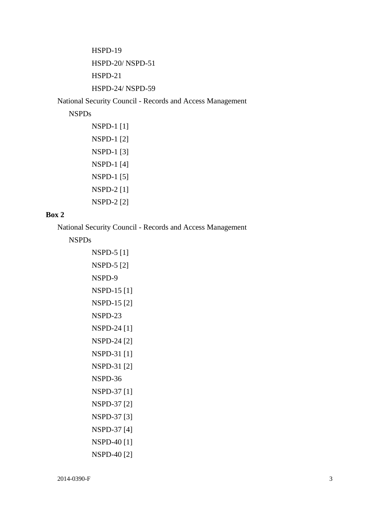HSPD-19 HSPD-20/ NSPD-51 HSPD-21 HSPD-24/ NSPD-59

National Security Council - Records and Access Management

#### NSPDs

```
NSPD-1 [1] 
NSPD-1 [2] 
NSPD-1 [3] 
NSPD-1 [4] 
NSPD-1 [5] 
NSPD-2 [1] 
NSPD-2 [2]
```
## **Box 2**

National Security Council - Records and Access Management

NSPDs

```
NSPD-5 [1] 
NSPD-5 [2] 
NSPD-9 
NSPD-15 [1] 
NSPD-15 [2] 
NSPD-23 
NSPD-24 [1] 
NSPD-24 [2] 
NSPD-31 [1] 
NSPD-31 [2] 
NSPD-36 
NSPD-37 [1] 
NSPD-37 [2] 
NSPD-37 [3] 
NSPD-37 [4] 
NSPD-40 [1] 
NSPD-40 [2]
```